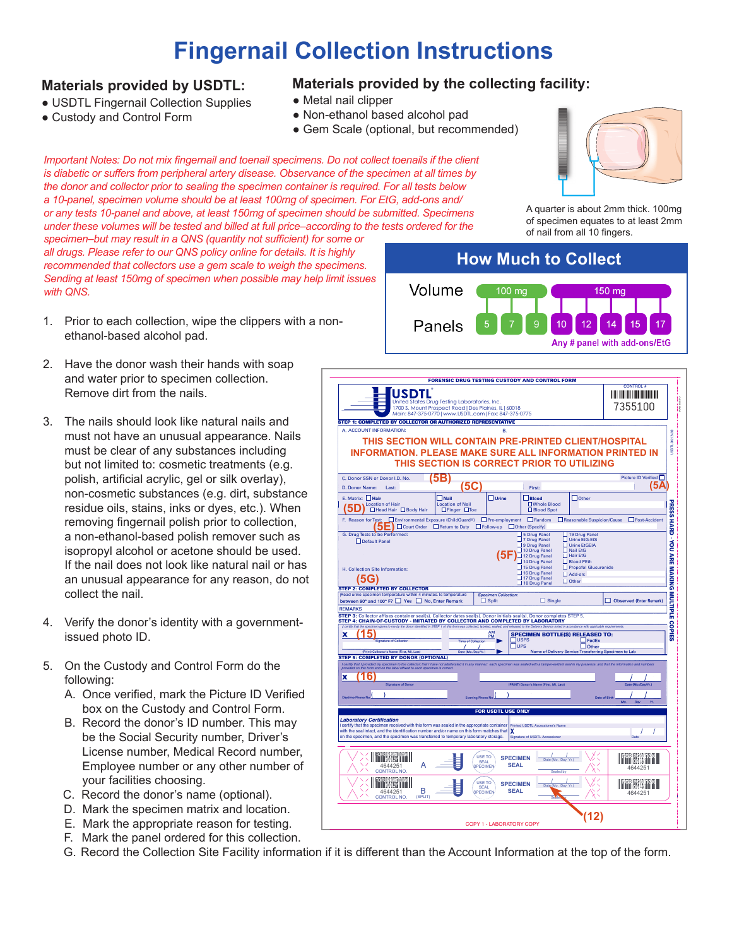## **Fingernail Collection Instructions**

## **Materials provided by USDTL:**

- USDTL Fingernail Collection Supplies
- Custody and Control Form

## **Materials provided by the collecting facility:**

- Metal nail clipper
- Non-ethanol based alcohol pad
- Gem Scale (optional, but recommended)

*Important Notes: Do not mix fingernail and toenail specimens. Do not collect toenails if the client is diabetic or suffers from peripheral artery disease. Observance of the specimen at all times by the donor and collector prior to sealing the specimen container is required. For all tests below a 10-panel, specimen volume should be at least 100mg of specimen. For EtG, add-ons and/ or any tests 10-panel and above, at least 150mg of specimen should be submitted. Specimens under these volumes will be tested and billed at full price–according to the tests ordered for the* 

*specimen–but may result in a QNS (quantity not sufficient) for some or all drugs. Please refer to our QNS policy online for details. It is highly recommended that collectors use a gem scale to weigh the specimens. Sending at least 150mg of specimen when possible may help limit issues with QNS.*

- 1. Prior to each collection, wipe the clippers with a nonethanol-based alcohol pad.
- 2. Have the donor wash their hands with soap and water prior to specimen collection. Remove dirt from the nails.
- 3. The nails should look like natural nails and must not have an unusual appearance. Nails must be clear of any substances including but not limited to: cosmetic treatments (e.g. polish, artificial acrylic, gel or silk overlay), non-cosmetic substances (e.g. dirt, substance residue oils, stains, inks or dyes, etc.). When removing fingernail polish prior to collection, a non-ethanol-based polish remover such as isopropyl alcohol or acetone should be used. If the nail does not look like natural nail or has an unusual appearance for any reason, do not collect the nail.
- 4. Verify the donor's identity with a governmentissued photo ID.
- 5. On the Custody and Control Form do the following:
	- A. Once verified, mark the Picture ID Verified box on the Custody and Control Form.
	- B. Record the donor's ID number. This may be the Social Security number, Driver's License number, Medical Record number, Employee number or any other number of your facilities choosing.
	- C. Record the donor's name (optional).
	- D. Mark the specimen matrix and location.
	- E. Mark the appropriate reason for testing.
	- F. Mark the panel ordered for this collection.
	- G. Record the Collection Site Facility information if it is different than the Account Information at the top of the form.

A quarter is about 2mm thick. 100mg of specimen equates to at least 2mm of nail from all 10 fingers.



|                                                                                                                                                                                                                                                                                               | <b>FORENSIC DRUG TESTING CUSTODY AND CONTROL FORM</b>        |                                             |                                        |                                                       | <b>CONTROL</b>               |
|-----------------------------------------------------------------------------------------------------------------------------------------------------------------------------------------------------------------------------------------------------------------------------------------------|--------------------------------------------------------------|---------------------------------------------|----------------------------------------|-------------------------------------------------------|------------------------------|
| USDTL<br>United States Drug Testing Laboratories, Inc.                                                                                                                                                                                                                                        |                                                              |                                             |                                        | <u> III III III III III III III III </u>              |                              |
| 1700 S. Mount Prospect Road   Des Plaines, IL   60018                                                                                                                                                                                                                                         |                                                              |                                             |                                        |                                                       | 7355100                      |
|                                                                                                                                                                                                                                                                                               | Main: 847-375-0770   www.USDTL.com   Fax: 847-375-0775       |                                             |                                        |                                                       |                              |
| STEP 1: COMPLETED BY COLLECTOR OR AUTHORIZED REPRESENTATIVE<br>A. ACCOUNT INFORMATION:                                                                                                                                                                                                        |                                                              | <b>B.</b>                                   |                                        |                                                       |                              |
|                                                                                                                                                                                                                                                                                               |                                                              |                                             |                                        |                                                       |                              |
| THIS SECTION WILL CONTAIN PRE-PRINTED CLIENT/HOSPITAL                                                                                                                                                                                                                                         |                                                              |                                             |                                        |                                                       |                              |
| <b>INFORMATION, PLEASE MAKE SURE ALL INFORMATION PRINTED IN</b>                                                                                                                                                                                                                               |                                                              |                                             |                                        |                                                       |                              |
|                                                                                                                                                                                                                                                                                               | THIS SECTION IS CORRECT PRIOR TO UTILIZING                   |                                             |                                        |                                                       |                              |
| C. Donor SSN or Donor I.D. No.                                                                                                                                                                                                                                                                | в                                                            |                                             |                                        |                                                       | Picture ID Verified          |
| D. Donor Name:<br>Last:                                                                                                                                                                                                                                                                       | 5С                                                           |                                             |                                        |                                                       | 5А                           |
|                                                                                                                                                                                                                                                                                               |                                                              |                                             | First:                                 |                                                       |                              |
| E. Matrix: Hair<br><b>Location of Hair</b>                                                                                                                                                                                                                                                    | $\Box$ Nail<br><b>Location of Nail</b>                       | $\Box$ Urine                                | $\Box$ Blood<br><b>OWhole Blood</b>    | $\Box$ Other                                          |                              |
| n<br>$\Box$ Head Hair $\Box$ Body Hair                                                                                                                                                                                                                                                        | $\Box$ Finger $\Box$ Toe                                     |                                             | □ Blood Spot                           |                                                       |                              |
| F. Reason for Test:                                                                                                                                                                                                                                                                           | Environmental Exposure (ChildGuard <sup>®</sup> )            | Pre-employment Random                       |                                        | Reasonable Suspicion/Cause                            | Post-Accident                |
| b                                                                                                                                                                                                                                                                                             | □ Court Order □ Return to Duty □ Follow-up □ Other (Specify) |                                             |                                        |                                                       |                              |
| G. Drug Tests to be Performed:<br>Default Panel                                                                                                                                                                                                                                               |                                                              |                                             | 5 Drug Panel<br>7 Drug Panel           | 19 Drug Panel<br>Urine EtG-EtS                        |                              |
|                                                                                                                                                                                                                                                                                               |                                                              |                                             | 9 Drug Panel                           | <b>Urine EtGEIA</b><br>$\Box$ Nail EtG                |                              |
|                                                                                                                                                                                                                                                                                               |                                                              |                                             | 10 Drug Panel<br>12 Drug Panel         | Hair EtG                                              |                              |
|                                                                                                                                                                                                                                                                                               |                                                              |                                             | 14 Drug Panel<br>15 Drug Panel         | Blood PEth<br>Propofol Glucuronide                    |                              |
| H. Collection Site Information:                                                                                                                                                                                                                                                               |                                                              |                                             | 16 Drug Panel                          | Add-on:                                               |                              |
|                                                                                                                                                                                                                                                                                               |                                                              |                                             | 717 Drug Panel<br>18 Drug Panel        | $\Box$ Other                                          |                              |
| <b>STEP 2: COMPLETED BY COLLECTOR</b>                                                                                                                                                                                                                                                         |                                                              |                                             |                                        |                                                       |                              |
| Read urine specimen temperature within 4 minutes. Is temperature<br>between 90° and 100° F? Ves No, Enter Remark                                                                                                                                                                              |                                                              | <b>Specimen Collection:</b><br>$\Box$ Split | $\Box$ Single                          |                                                       | Observed (Enter Remark)      |
| <b>REMARKS</b>                                                                                                                                                                                                                                                                                |                                                              |                                             |                                        |                                                       |                              |
| STEP 3: Collector affixes container seal(s). Collector dates seal(s). Donor initials seal(s). Donor completes STEP 5.                                                                                                                                                                         |                                                              |                                             |                                        |                                                       |                              |
| STEP 4: CHAIN-OF-CUSTODY - INITIATED BY COLLECTOR AND COMPLETED BY LABORATORY<br>I cartify that the specimen given to me by the donor identified in STEP 1 of this form was collected, labeled, sealed, and released to the Delivery Service noted in accordance with applicable requirements |                                                              |                                             |                                        |                                                       |                              |
| x                                                                                                                                                                                                                                                                                             |                                                              | AM<br>PM                                    | <b>SPECIMEN BOTTLE(S) RELEASED TO:</b> |                                                       |                              |
| <b>Signature of Collector</b>                                                                                                                                                                                                                                                                 | <b>Time of Collection</b>                                    | $\Box$ USPS<br>$\square$ ups                |                                        | $\Box$ FedEx<br>$\Box$ Other                          |                              |
| (Print) Collector's Name (First, MI, Last)                                                                                                                                                                                                                                                    | Date (Mo./Day/Yr.)                                           |                                             |                                        | Name of Delivery Service Transferring Specimen to Lab |                              |
| <b>STEP 5: COMPLETED BY DONOR (OPTIONAL)</b>                                                                                                                                                                                                                                                  |                                                              |                                             |                                        |                                                       |                              |
| I certify that I provided my specimen to the collector; that I have not adulterated it in any manner; each specimen was sealed with a tamper-evident seal in my presence; and that the information and numbers<br>provided on thi                                                             |                                                              |                                             |                                        |                                                       |                              |
| x                                                                                                                                                                                                                                                                                             |                                                              |                                             |                                        |                                                       |                              |
| <b>Signature of Donor</b>                                                                                                                                                                                                                                                                     |                                                              |                                             | (PRINT) Donor's Name (First, MI, Last) |                                                       | Date (Mo./Day/Yr.)           |
| <b>Daytime Phone No</b>                                                                                                                                                                                                                                                                       | Evening Phone No.                                            |                                             |                                        |                                                       | Date of Birth                |
|                                                                                                                                                                                                                                                                                               |                                                              |                                             |                                        |                                                       | M <sub>0</sub><br>Yr.<br>Dav |
|                                                                                                                                                                                                                                                                                               |                                                              | <b>FOR USDTL USE ONLY</b>                   |                                        |                                                       |                              |
| <b>Laboratory Certification</b><br>I certify that the specimen received with this form was sealed in the appropriate container Printed USDTL Accessioner's Name                                                                                                                               |                                                              |                                             |                                        |                                                       |                              |
| with the seal intact, and the identification number and/or name on this form matches that $\chi$                                                                                                                                                                                              |                                                              |                                             |                                        |                                                       | $\prime$<br>$\prime$         |
| on the specimen, and the specimen was transferred to temporary laboratory storage.                                                                                                                                                                                                            |                                                              |                                             | Signature of USDTL Accessione          |                                                       | Date                         |
|                                                                                                                                                                                                                                                                                               |                                                              |                                             |                                        |                                                       |                              |
|                                                                                                                                                                                                                                                                                               | USE TO                                                       | <b>SPECIMEN</b>                             | Date (Mo. Day Yr.)                     |                                                       |                              |
| А<br>4644251                                                                                                                                                                                                                                                                                  | <b>SEAL</b><br><b>PECIMEN</b>                                | <b>SEAL</b>                                 |                                        |                                                       | 4644251                      |
| <b>CONTROL NO</b>                                                                                                                                                                                                                                                                             |                                                              |                                             | Sealed by                              |                                                       |                              |
|                                                                                                                                                                                                                                                                                               | USE TO                                                       | <b>SPECIMEN</b>                             | Date (Mo. Day Yr.)                     |                                                       |                              |
| B<br>4644251                                                                                                                                                                                                                                                                                  | <b>SEAL</b><br><b>PECIMEN</b>                                | <b>SEAL</b>                                 |                                        |                                                       | 4644251                      |
| (SPLIT)<br><b>CONTROL NO</b>                                                                                                                                                                                                                                                                  |                                                              |                                             | Seap-                                  |                                                       |                              |
|                                                                                                                                                                                                                                                                                               |                                                              |                                             |                                        |                                                       |                              |
|                                                                                                                                                                                                                                                                                               |                                                              |                                             |                                        |                                                       |                              |
|                                                                                                                                                                                                                                                                                               |                                                              |                                             |                                        |                                                       |                              |